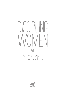# DISCIPI ING WOMFN BY I ORI JOINER

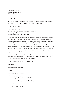Published by: Cru Press 100 Lake Hart Drive 2500 Orlando, FL 32832 www.crupress.com

© 2012 Lori Joiner

All rights reserved. No part of this publication may be reproduced in any form without written permission from Lori Joiner, 1715 Grayson Lakes Blvd, Katy, TX 77494.

ISBN-13: 978-1-57334-077-9

Cover design by Traci Yau Cover photo by Jelani Memory Photography - iStockphoto Inside design by Brian L. Byers Typeset in Adobe® Caslon Pro & Myriad Pro

This book is designed to provide accurate and authoritative information in regard to the subject matter covered. It is sold with the understanding that neither the author nor the publisher is engaged in rendering legal, counseling, or any other professional services. If legal advice or other professional advice, including counseling, is required, the services of a competent professional person should be sought. The author and publisher specifically disclaim any and all liability arising directly or indirectly from the use or application of any information contained in this book. Some of the anecdotal illustrations in this book are true to life and are included with the permission of the persons involved. All other illustrations are composites of real situations, and any resemblance of people living or dead is coincidental.

Unless otherwise identified, all Scripture quotations in this publication are taken from the Holy Bible, New International Version (NIV), Copyright 1973, 1978, 1984 by International Bible Society. Used by permission of Zondervan. All rights reserved.

Library of Congress Cataloging-in-Publication Data

Joiner, Lori, 1972-

Discipling Women / Lori Joiner.

p. cm.

Includes bibliographical references.

ISBN-13: 978-1-57334-077-9 Library of Congress Control Number: 2012943864

1. Women—Growth 2. Religious aspects—Christianity

Printed in the United States of America

1 2 3 4 5 6 7 8 / 15 14 13 12 11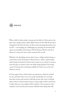

What a thrill to help another woman put her faith in Christ and see her grow into a godly, mature, Spirit-filled woman of God. My life has been changed for the better because of other women pouring themselves into my life — encouraging me, challenging me, pressing me forward, holding me accountable, and loving me. By God's grace He has seen fit to allow me to have this role in other women's lives as well.

Whether it be discipling women when I was a college student living on a dorm floor at the University of North Texas or while a staff member with Campus Crusade for Christ, from women in my church to women from the gym to women I have met while doing laundry, I love being a part of women's lives and being available for God to use as his tool where he sees fit.

In these pages I have written about my experiences, what has worked for me, and what I have seen to be easily transferable. It is my hope that these stories and resources will help women who want to disciple other women. I tried to keep women in many stages of life in mind, but I realize that not every chapter will be useful to every woman in every situation. I do trust that most women will find some things that will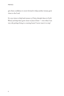give them confidence to move forward to help another woman grow closer to the Lord.

It is my vision to help lead women to Christ, disciple them in God's Word, and help them grow closer to Jesus Christ — even when I am very old, perhaps living in a nursing home! I never want it to stop!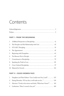# Contents

#### **PART I : FROM THE BEGINNING**

| 1               |                                                 |
|-----------------|-------------------------------------------------|
| $\overline{2}$  | The Discipler and Her Relationship with God  25 |
| $\mathfrak{Z}$  |                                                 |
| $\overline{4}$  |                                                 |
| 5               |                                                 |
| 6               |                                                 |
| $7\overline{ }$ |                                                 |
| 8               |                                                 |
| 9               |                                                 |
|                 |                                                 |

#### **PART II : ISSUES WOMEN FACE**

| 1 Daughters and Their Fathers: "Can I really trust You, Lord?" 127   |  |
|----------------------------------------------------------------------|--|
| 2 Eating Disorders: "If I eat this, it will make me fat"  139        |  |
| 3 Abortion: "I look in the mirror and think, 'What have I done?" 161 |  |
|                                                                      |  |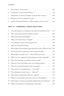#### CONTENTS

| 7 Imagination: "A woman's thoughts can be her ally or enemy" 199   |  |
|--------------------------------------------------------------------|--|
|                                                                    |  |
| 9 Sexually Transmitted Diseases: "Who's going to want me now?" 221 |  |

#### **PART III : COMMONLY ASKED QUESTIONS**

| 1  | "A woman asked me to disciple her, but what if I hardly know her?" 227                 |
|----|----------------------------------------------------------------------------------------|
| 2  | "How many people should I disciple at a time?"  228                                    |
| 3  | "What about group discipleship?"  228                                                  |
| 4  |                                                                                        |
| 5  | "Can I disciple someone of the opposite sex?"  229                                     |
| 6  |                                                                                        |
| 7  | "My disciple will not forgive people who have hurt her. What do I do?" 230             |
| 8  | "Can I use the same material for each woman I disciple?" 231                           |
| 9  | "My disciple is sexually active — what should I say to her?" 231                       |
| 10 | "What are some suggestions for spending time with my disciple?" 232                    |
| 11 | "How do I encourage my disciple to pray out loud?"  232                                |
| 12 | "What do I do if my disciple wears very revealing clothes?"  233                       |
| 13 | "How do I set good boundaries with my disciples?"  235                                 |
| 14 | "The woman I was discipling quit — now what?" $\ldots \ldots \ldots \ldots \ldots$ 236 |
| 15 | "I'm discipling too many women — what now?"  236                                       |
| 16 | "My disciple is heartbroken. How do I respond?"  237                                   |
| 17 | "What is accountability and how do I do this in discipleship?" 237                     |
| 18 | "My disciple is viewing pornography regularly. How do I help her?" 238                 |
| 19 | "Where do I find time to disciple when I have kids?"  239                              |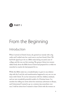

# From the Beginning

## Introduction

When I arrived at Christi's home, she greeted me warmly with a big smile, and I settled onto her couch next to my best friend, Cheri. We had both signed up to be in a Bible study during our junior year of college, and this was our first meeting. The group of about ten women talked freely about the Bible lesson Christi had prepared for us while we munched on snacks she had prepared for us.

While this Bible study was a wonderful place to grow in my relationship with the Lord, the real transformation happened in my one-on-one times with Christi. To see her interactions with her children, husband, and me were wonderful, powerful models of a Christian home. I remember her telling me stories about her missionary adventures in Kenya, and I determined I wanted to go on a mission trip somewhere overseas.I told her about how I wanted to share Christ with the women on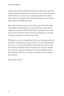my dorm floor, and she taught me, saying, "Lori, these are the questions college students are asking, so these are the verses you should memorize, and I will teach you an easy way to explain the gospel." I also talked with her about my struggles with my boyfriend at the time, and she lovingly walked me through that season.

Above all, Christi invested time in me. She let me into her life, taught me the Bible, and challenged me to share what I knew with others at college and around the world. Christi made a real difference in my life, and in the lives of plenty of other women, and I longed to be that type of loving, caring person in another woman's life.

Whether you are new to discipleship or have been discipling women for years, Part 1 will help give you some tracks to run on and perhaps some new ideas to use in your discipleship relationships. From what to talk about during discipleship times to fun things to do with your disciple, from material to teach your disciple to how to have difficult conversations with her, I desire for you to find encouragement in your discipleship endeavors.

Okay, let's get started!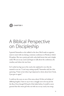

# A Biblical Perspective on Discipleship

I greeted Samantha as she walked in the door. She'd made an appointment to meet with me during a missions conference in Florida at which I'd spoken. She was a pretty girl with curly, dark brown hair and a bright smile. We sat on my couch and began to talk about the conference, the weather, and where she was from.

As I curled my legs up on the couch, she explained to me why she wanted to see me. "I can't stop cutting myself," Samantha said, her chin quivering. "I hate it, but when I get depressed or down about how I look, I just give in again."

I could see the scars on one of her arms, about 10 thin red whelps of differing lengths. I have to say it was a struggle not to let my jaw hit the floor. Even though I'd heard of this habit before, I would've never guessed that this sweet girl who sat with me on my couch, was strug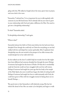gling with this. We talked at length about the issue, spent time in prayer, and even shed a few tears.

"Samantha," I advised her, "it is so important for you to talk regularly with someone in your life back home. You've already told me you want to grow in your relationship with God and make a difference for Him. You need to get into a discipleship relationship."

"A what?" Samantha asked.

"A discipleship relationship," I said again.

"What is that?"

Samantha had put her faith in Christ years before, but she had never been discipled. Even though she could rely on Christ for everything, no one had walked with her and helped her mature spiritually. After I explained what discipleship was, she was excited at the prospect of an older woman who would disciple her in her walk with God.

As she walked out the door I couldn't help but wonder how her life might have been different had someone discipled her through the years. Perhaps if someone had taught her the lesson of Psalm 139 that she is wonderfully made by God, she would not have struggled with such low self-esteem. Perhaps if someone had taught her years ago that her body is the temple of the Holy Spirit, she never would have begun the habit of cutting herself. Perhaps if someone had taught her how to walk intimately with God, she could have gone to Him with her struggles instead of taking them out on herself. Perhaps …

The good news is that Samantha is still relatively young. She has her whole life ahead of her. She can make it, be discipled, and begin to walk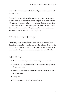with God in a whole new way. Unfortunately, though, the old scars will always be there.

There are thousands of Samanthas who need a woman to come alongside to love them, care for them, and encourage them in their walk with God. You and I have the ability to be that loving discipler in their lives. We don't have to have all the answers; we don't have to be the "perfect" Christian. We need only be willing to be used by God to embrace another woman in the holy endeavor of discipleship.

## What is Discipleship?

Discipleship is a ministry whereby a more mature believer builds an intentional relationship with a less mature believer (relatively new to the faith, or saved but with little to no growth) for the purpose of teaching the content of the gospel and demonstrating the Christian lifestyle.

#### What it's not

- \* Professional counseling in which a person might need medication
- \* Mentorship or a Big Brother/Big Sister program- although some things may overlap
- \* Pedantic dissemination of facts, which is mere academia or a transfer of knowledge
- \* Evangelism
- **\*** Picking someone up for church every Sunday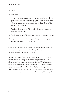#### What it is

#### **☆** Intentional

- \* A goal-oriented objective toward which the discipler aims. Discipler seeks to accomplish something specific in the life of another. Goals are measurable. One measure may be the evolving of the disciple into a discipler.
- \* Teaching characteristics of faith such as holiness, righteousness, and eternal perspective.
- \* Teaching disciplines of faith such as witnessing, tithing, and missions.
- \* A spiritual endeavor of investing, teaching, and encouraging another person toward Christ and others.

More than just a weekly appointment, discipleship is a life rub-off. It's spending time together and walking through life together, because certain life lessons are more caught than taught.

For example, one day I was at a Lowe's home improvement store with Amanda, a woman I discipled. As we got our paint mixed, I began talking about Jesus to the employee attending us. We had a great conversation, and I was able to tell him that God loved him and desired a personal relationship with him. Of all the lessons I taught Amanda during our weekly discipleship time what she remembered most were the lessons she caught when we were simply following Christ together.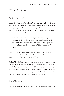### Why Disciple?

#### Old Testament

In the Old Testament, "discipleship" was at the heart of Jewish faith. It was a function of the family under the father's leadership and, following the captivity, a function also of the synagogue. Fathers were instructed to teach their children the Law of Moses — how to honor and please the Lord, and how to follow His commandments:

"And these words which I command you today shall be in your heart. You shall teach them diligently to your children, and shall talk of them when you sit in your house, when you walk by the way, when you lie down, and when you rise up" (Deuteronomy 6:6,7; NKJV).

In instructing Aaron and his sons in their priestly duties, God said, "You must teach the Israelites all the decrees the Lord has given them through Moses" (Leviticus 10:8-11, NASB).

In Jesus' day, the family and the synagogue remained the central forum for learning and teaching the principles of the community of faith. Until the final year of His ministry, which Bible scholars call "the year of opposition," Jesus regularly taught in the synagogues: "He went to Nazareth, where he had been brought up, and on the Sabbath day he went into the synagogue, as was his custom" (Luke 4:16, NIV).

#### New Testament

Jesus made the invitation to be a learner personal when he asked certain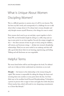## What Is Unique About Women Discipling Women?

This is a difficult question to answer, since it's all I've ever known. This has been my life's work, and consequently it's a challenge for me to talk about what is unique about it. I've always had a woman discipler and only disciple women myself. However, a few things do come to mind.

First, women don't need to go out and play a sport together to feel a bond. We can feel bonded simply by sitting in a coffee shop and crying at some point in our time together. Second, the unique struggles we face — the sheer amount of time we give to food, caring for children, self-esteem, and hormone swings — all play into women's discipleship relationships. Third, we are more verbal in our makeup, and thus will talk a good deal about what we are learning, experiencing, and feeling. Talking and self-disclosure are non-negotiable.

## Helpful Terms

The terms listed below will be used throughout the book. I've defined each one to help you better understand my intentions as you read.

**Disciple** — the learner in the relationship or the woman being discipled. This woman is responsible for taking the things she learns and investing them into another at some point down the line. As Chris Adsit says in his excellent book Personal Disciplemaking, "A disciple is a person in process who is eager to learn and apply the truths that Jesus Christ teaches him, which will result in ever-deepening commitments to a Christ-like lifestyle."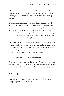**Discipler** — the teacher, or the woman who is discipling another woman. As the leader in the relationship, she is responsible for loving, encouraging, and patiently walking alongside the disciple in her spiritual walk.

**Discipleship Appointment** — a regular time at which the disciple and discipler meet. This could perhaps be a weekly or bi-weekly appointment in a one-on-one or small-group setting. The time frame, depending on schedules, could be an hour or two and is spent in prayer, teaching, and training the disciple in basic skills such as faith sharing and discipling. This time is also used to study the Bible, hold each other accountable, and do outreach together.

**Discipleship Chain** — the term used to describe a scenario in which a woman is discipling a woman who in turn is discipling another woman. We see this example in 2 Timothy 2:2: "And the things you have heard me say in the presence of many witness, entrust to reliable men who will also be qualified to teach others" (NIV). To illustrate:

#### **Paul > Timothy > reliable men > others**

This would be a four-deep discipleship chain. One of the primary goals in discipleship is that the woman in whom you're investing your life will turn around and invest in the life of at least one other woman as well.

## Why Not?

I think there are a variety of reasons that women don't engage in the discipleship endeavor. These include: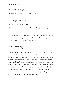- **\*** Lack of knowledge
- \* Absence of a positive discipleship model
- \* Time crunch
- **\*** Feelings of inadequacy
- **\*** Lack of eternal perspective
- \* A church without a structure for discipleship relationships

My hope is that through the pages of this book, I'll be able to dismantle some of these seeming roadblocks and give you the encouragement to embrace anew the privilege of discipleship.

## In Summary

Making disciples is not simply a good idea; it is a biblical mandate with which we as believers have been entrusted. We need to share our faith and make disciples of the next generation of believers. We have the help of the Holy Spirit working powerfully within us and other fellow believers beside us. Ensuring that evangelism and discipleship are not just a job (if you're in full-time vocational ministry) will ensure that ministry is an overflow of your life, not just a task to accomplish from 9 to 5 (or 9 to 9 for some of us!). Through the course of this book, we will learn to remove roadblocks to discipleship and be encouraged to begin walking alongside one another in discipleship right now!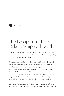

# The Discipler and Her Relationship with God

"When is this going to be over?" I thought to myself. I'd been meeting with Stephanie for almost an hour. I kept secretly glancing at my watch, waiting for the minutes to tick by.

It wasn't that she was boring or that I was tired; I was simply a bit off that day. I didn't have much to offer. I felt spiritually dry. Carrying the weight of unanswered prayers, unconfessed sin, and a burdensome schedule that had squeezed God out had led to this empty, spiritual hole in which I found myself. Yet life goes on, and today was the day I normally met Stephanie at a Chili's restaurant for our regular discipleship time. So here we were. I was her "spiritual" leader — and yet I felt she could probably teach me more that day than I could teach her.

For various reasons, there will be times when we feel far from God or are not as in tune with His voice and leading as we would like. Over the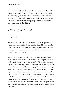years I have noticed that when I feel this way, it affects my discipleship relationships as well. Feeling as if I have nothing to offer and few (if any) encouraging words is a direct result of feeling distant and discouraged in my own relationship with the Lord. Below are a few suggestions I've learned over time that may help you put your focus back on the Lord when you feel it has drifted.

## Growing with God

#### Time with Him

Spending regular one-on-one time with the Lord is the primary way we can grow closer to Him. Just as spending time with a new friend or significant other will enable the relationship to grow deeper and more special, spending regular time with God will allow your spiritual relationship to deepen and mature.

Through the years, I've spent this time alone with God in various ways. There are many ways to spend time with God, but always be sure to include time for reading and meditating on His Word, and communicating with Him. Currently, I begin my time with God by reading the One Year Bible. As I read the different passages, I desire to learn new things about God. I also spend time looking for ways to apply what I am reading to my own life. I might read a verse that encourages me, strengthens me, or corrects an area of my life or behavior. I then spend time writing to the Lord in my journal (I have tons of these journals, all stashed in boxes under my bed). I write to Him about my feelings, things in my life for which I am thankful, and words of surrender to His plans for the day. I sometimes sing worship songs, get on my knees to pray, or memorize a verse.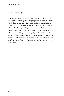## In Summary

Maintaining a vital, close walk with the Lord needs to be the top priority in your life, whether you are discipling a woman or not. However, it is all the more important if you are discipling a woman. Spending time with Him on a consistent basis, and engaging in spiritual disciplines such as fasting and Scripture memory, can help deepen your love relationship with God. A good understanding of common pitfalls in our relationship with God, such as living off yesterday, not being authentic, and hidden sin in our lives, will help us guard against these things in our own lives. God wants our heart to be steadfast in love with Him. After all, it's not our good works and tons of disciples He is ultimately after it's our heart.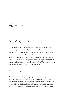

# S.T.A.R.T. Discipling

While there are probably dozens of attributes one can look for in a woman to potentially disciple, five of the foundational characteristics to identify are: Spirit-filled, teachable, available, reliable, and able to transfer what she learns. We have a limited amount of time each day to dedicate to discipling women. Because of this limited time factor, we need to be careful in our discipleship choices. A helpful acronym to remember when deciding who to disciple is S.T.A.R.T. — knowing what to look for before you begin discipling someone.

## Spirit-Filled

When you desire to begin discipling, it is important for you to look for a woman who is Spirit-filled, meaning she asks God to be in control of her life and direct her path step by step each day. This is a woman who wants to follow Christ and seeks to learn and grow in her relationship with Him. She displays a life surrendered to the Lordship of Christ.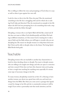She is willing to follow the voice and promptings of God when it is easy as well as when it goes against her own will.

Look for clues to this in her life. Does she pray? Has she mentioned something in her life she is struggling with and for which she is seeking God's help and direction? Has she mentioned an example in her life where she felt God was prompting her to do something that took a step of faith, and did she follow through?

Discipling a woman who is not Spirit-filled will feel like a dead end. If she does not want to follow God wholeheartedly and follow His leading in different situations, or if she senses God is wanting her to take a step of faith and she flatly refuses, you will begin to wonder why you are discipling her. The reason we disciple women is to help them look more like Christ and be able to disciple others in the future. Not being Spiritfilled blocks both goals.

## Teachable

Discipling women who are teachable is another key characteristic to look for when deciding whom to disciple. You want to disciple women who are willing to be taught new things, and who are open to correction and wise counsel. If she does not have this character trait, you're going to have a tough time teaching her anything new, especially if it means some type of necessary change in her life.

To many women, discipleship sounds fun at first. It's a blessing to have another woman care about you, spend time with you, and teach you things from the Bible. But when you come across a passage that signals a need for change in her life and she is consistently resistant, it will be tough. If you notice a personality trait that needs attention, and she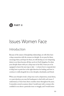

# Issues Women Face

## Introduction

Because of the nature of discipleship relationships, we will often have a deep connection with the women we disciple. As we pray for them, encourage them, and hope for them, we will develop an ever-deepening desire to see them become all they can be in God's kingdom. So when your disciple shares with you a deep issue in her life, I want you to be equipped to know the next step to take — to know how to respond, how to help, how to point her in the right direction for healing, and how to continue to walk alongside her as her discipler, cheerleader, and friend.

When your disciple reveals a deep issue such as depression, sexual abuse, or a past abortion, you may feel inadequate to deal with such issues. I understand, as I have been there countless times throughout the years. I remember several occasions where I would meet with a woman who confided in me about a particular issue or struggle, and I would imme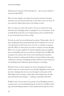diately pray in my heart, "Oh, God, help me — give me your wisdom. I need your help ASAP."

These next few chapters are written for just those moments. In those situations, you may find yourself with no idea what to say or do next. As you read each chapter, please keep a few things in mind.

First, it is okay not to have the answers. No one, no matter how long they have been discipling others, is equipped in very circumstance. So let yourself off the hook. You are not Superwoman, and it is perfectly fine to say, "I don't know, but I want to help."

Second, you and I are not professional counselors. Okay, maybe a few of those reading this book are professionals, but the majority of us are not. I say this because I don't want you to try to be a counselor in someone else's life. When an issue arises, you need to continue to be the discipler. That is, you can pray together, do outreach together, hang out together, have accountability, and you can teach your disciple from the Bible. But be quick to let someone else do the work of professional counselors. They are trained to understand and find root issues behind certain types of behaviors and ways of thinking, and they will know if the woman you are discipling needs medication, group therapy, or counseling.

Third, the stories in these chapters are real (as throughout the entire book). I want you to have hope for your disciple. Regardless of the problem she is dealing with, she can come through it in the power of the Holy Spirit, and even begin to help others with similar issues. So take heart and don't be discouraged — nothing is impossible with God!

Finally, I want to let you know I am proud of you! Discipling women is a passion and a very rewarding blessing. It can also be a thankless, draining, and heartbreaking endeavor. I have experienced the gamut of emo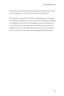tions, and I am proud of you for persevering and trusting God to work in and through you to touch the lives of others for His glory!

The American Association of Christian Counselors has an entire website dedicated to helping you find in your area the Christian counseling your disciple needs. So if you are discipling a woman you think needs a counselor, have her visit www.aacc.net, click Find a Counselor, and simply enter her zip code. She will then be given a list of counselors in her area whom she could contact to start getting the help she needs.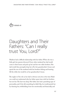

# Daughters and Their Fathers: "Can I really trust You, Lord?"

Madison had a difficult relationship with her father. When she was a little girl, her parents divorced. Every other weekend her dad would come to their house and pick up her and her two older brothers. Her dad would then promptly drop her off at her grandmother's house and spend the rest of the weekend with her brothers fishing and hunting. All the while she would be at her grandmother's house.

The neglect of his role as her dad is obvious now, but at the time Madison could not understand why her father spent time with her brothers but not her. The hurt was deep. Her father also had a punishing type of personality, and if she did something he didn't like, he would punish her by shaming her, withholding from her emotionally and financially, and